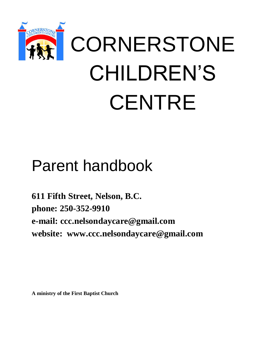

# Parent handbook

**611 Fifth Street, Nelson, B.C. phone: 250-352-9910 e-mail: [ccc.nelsondaycare@gmail.com](mailto:ccc.nelsondaycare@gmail.com) website: [www.ccc.nelsondaycare@gmail.com](mailto:www.ccc.nelsondaycare@gmail.com)**

**A ministry of the First Baptist Church**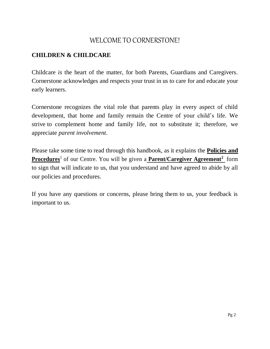# WELCOME TO CORNERSTONE!

# **CHILDREN & CHILDCARE**

Childcare *is* the heart of the matter, for both Parents, Guardians and Caregivers. Cornerstone acknowledges and respects your trust in us to care for and educate your early learners.

Cornerstone recognizes the vital role that parents play in every aspect of child development, that home and family remain the Centre of your child's life. We strive to complement home and family life, not to substitute it; therefore, we appreciate *parent involvement*.

Please take some time to read through this handbook, as it explains the **Policies and Procedures**<sup>1</sup> of our Centre. You will be given a **Parent/Caregiver Agreement<sup>2</sup>** form to sign that will indicate to us, that you understand and have agreed to abide by all our policies and procedures.

If you have any questions or concerns, please bring them to us, your feedback is important to us.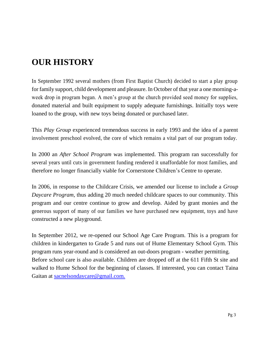# **OUR HISTORY**

In September 1992 several mothers (from First Baptist Church) decided to start a play group for family support, child development and pleasure. In October of that year a one morning-aweek drop in program began. A men's group at the church provided seed money for supplies, donated material and built equipment to supply adequate furnishings. Initially toys were loaned to the group, with new toys being donated or purchased later.

This *Play Group* experienced tremendous success in early 1993 and the idea of a parent involvement preschool evolved, the core of which remains a vital part of our program today.

In 2000 an *After School Program* was implemented. This program ran successfully for several years until cuts in government funding rendered it unaffordable for most families, and therefore no longer financially viable for Cornerstone Children's Centre to operate.

In 2006, in response to the Childcare Crisis, we amended our license to include a *Group Daycare Program*, thus adding 20 much needed childcare spaces to our community. This program and our centre continue to grow and develop. Aided by grant monies and the generous support of many of our families we have purchased new equipment, toys and have constructed a new playground.

In September 2012, we re-opened our School Age Care Program. This is a program for children in kindergarten to Grade 5 and runs out of Hume Elementary School Gym. This program runs year-round and is considered an out-doors program - weather permitting. Before school care is also available. Children are dropped off at the 611 Fifth St site and walked to Hume School for the beginning of classes. If interested, you can contact Taina Gaitan at [sacnelsondaycare@gmail.com.](mailto:sacnelsondaycare@gmail.com)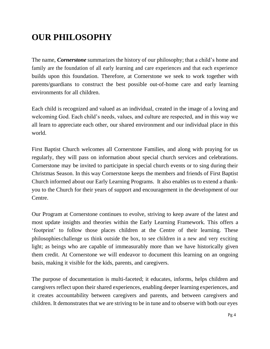# **OUR PHILOSOPHY**

The name, *Cornerstone* summarizes the history of our philosophy; that a child's home and family are the foundation of all early learning and care experiences and that each experience builds upon this foundation. Therefore, at Cornerstone we seek to work together with parents/guardians to construct the best possible out-of-home care and early learning environments for all children.

Each child is recognized and valued as an individual, created in the image of a loving and welcoming God. Each child's needs, values, and culture are respected, and in this way we all learn to appreciate each other, our shared environment and our individual place in this world.

First Baptist Church welcomes all Cornerstone Families, and along with praying for us regularly, they will pass on information about special church services and celebrations. Cornerstone may be invited to participate in special church events or to sing during their Christmas Season. In this way Cornerstone keeps the members and friends of First Baptist Church informed about our Early Learning Programs. It also enables us to extend a thankyou to the Church for their years of support and encouragement in the development of our Centre.

Our Program at Cornerstone continues to evolve, striving to keep aware of the latest and most update insights and theories within the Early Learning Framework. This offers a 'footprint' to follow those places children at the Centre of their learning. These philosophies challenge us think outside the box, to see children in a new and very exciting light; as beings who are capable of immeasurably more than we have historically given them credit. At Cornerstone we will endeavor to document this learning on an ongoing basis, making it visible for the kids, parents, and caregivers.

The purpose of documentation is multi-faceted; it educates, informs, helps children and caregivers reflect upon their shared experiences, enabling deeper learning experiences, and it creates accountability between caregivers and parents, and between caregivers and children. It demonstrates that we are striving to be in tune and to observe with both our eyes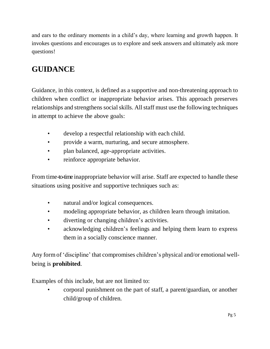and ears to the ordinary moments in a child's day, where learning and growth happen. It invokes questions and encourages us to explore and seek answers and ultimately ask more questions!

# **GUIDANCE**

Guidance, in this context, is defined as a supportive and non-threatening approach to children when conflict or inappropriate behavior arises. This approach preserves relationships and strengthens social skills. All staff must use the following techniques in attempt to achieve the above goals:

- develop a respectful relationship with each child.
- provide a warm, nurturing, and secure atmosphere.
- plan balanced, age-appropriate activities.
- reinforce appropriate behavior.

From time-to-time inappropriate behavior will arise. Staff are expected to handle these situations using positive and supportive techniques such as:

- natural and/or logical consequences.
- modeling appropriate behavior, as children learn through imitation.
- diverting or changing children's activities.
- acknowledging children's feelings and helping them learn to express them in a socially conscience manner.

Any formof 'discipline' that compromises children's physical and/or emotional wellbeing is **prohibited**.

Examples of this include, but are not limited to:

• corporal punishment on the part of staff, a parent/guardian, or another child/group of children.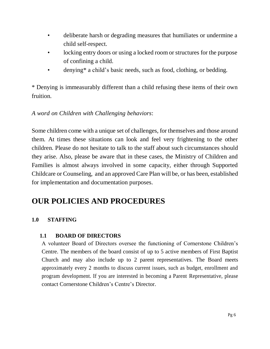- deliberate harsh or degrading measures that humiliates or undermine a child self-respect.
- locking entry doors or using a locked room or structures for the purpose of confining a child.
- denying\* a child's basic needs, such as food, clothing, or bedding.

\* Denying is immeasurably different than a child refusing these items of their own fruition.

# *A word on Children with Challenging behaviors*:

Some children come with a unique set of challenges, for themselves and those around them. At times these situations can look and feel very frightening to the other children. Please do not hesitate to talk to the staff about such circumstances should they arise. Also, please be aware that in these cases, the Ministry of Children and Families is almost always involved in some capacity, either through Supported Childcare or Counseling, and an approved Care Plan will be, or has been, established for implementation and documentation purposes.

# **OUR POLICIES AND PROCEDURES**

# **1.0 STAFFING**

# **1.1 BOARD OF DIRECTORS**

A volunteer Board of Directors oversee the functioning of Cornerstone Children's Centre. The members of the board consist of up to 5 active members of First Baptist Church and may also include up to 2 parent representatives. The Board meets approximately every 2 months to discuss current issues, such as budget, enrollment and program development. If you are interested in becoming a Parent Representative, please contact Cornerstone Children's Centre's Director.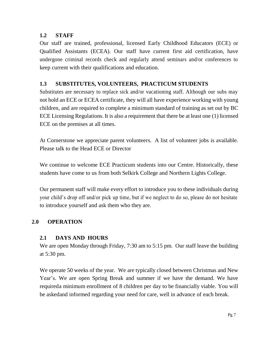# **1.2 STAFF**

Our staff are trained, professional, licensed Early Childhood Educators (ECE) or Qualified Assistants (ECEA). Our staff have current first aid certification, have undergone criminal records check and regularly attend seminars and/or conferences to keep current with their qualifications and education.

# **1.3 SUBSTITUTES, VOLUNTEERS, PRACTICUM STUDENTS**

Substitutes are necessary to replace sick and/or vacationing staff. Although our subs may not hold an ECE or ECEA certificate, they will all have experience working with young children, and are required to complete a minimum standard of training as set out by BC ECE Licensing Regulations. It is also a requirement that there be at least one (1) licensed ECE on the premises at all times.

At Cornerstone we appreciate parent volunteers. A list of volunteer jobs is available. Please talk to the Head ECE or Director

We continue to welcome ECE Practicum students into our Centre. Historically, these students have come to us from both Selkirk College and Northern Lights College.

Our permanent staff will make every effort to introduce you to these individuals during your child's drop off and/or pick up time, but if we neglect to do so, please do not hesitate to introduce yourself and ask them who they are.

# **2.0 OPERATION**

# **2.1 DAYS AND HOURS**

We are open Monday through Friday, 7:30 am to 5:15 pm. Our staff leave the building at 5:30 pm.

We operate 50 weeks of the year. We are typically closed between Christmas and New Year's. We are open Spring Break and summer if we have the demand. We have requireda minimum enrollment of 8 children per day to be financially viable. You will be askedand informed regarding your need for care, well in advance of each break.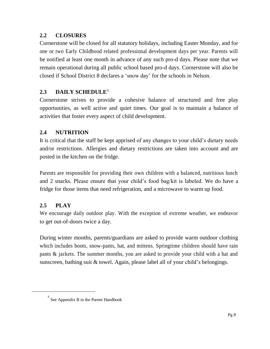# **2.2 CLOSURES**

Cornerstone will be closed for all statutory holidays, including Easter Monday, and for one or two Early Childhood related professional development days per year. Parents will be notified at least one month in advance of any such pro-d days. Please note that we remain operational during all public school based pro-d days. Cornerstone will also be closed if School District 8 declares a 'snow day' for the schools in Nelson.

# **2.3 DAILY SCHEDULE**<sup>3</sup>

Cornerstone strives to provide a cohesive balance of structured and free play opportunities, as well active and quiet times. Our goal is to maintain a balance of activities that foster every aspect of child development.

# **2.4 NUTRITION**

It is critical that the staff be kept apprised of any changes to your child's dietary needs and/or restrictions. Allergies and dietary restrictions are taken into account and are posted in the kitchen on the fridge.

Parents are responsible for providing their own children with a balanced, nutritious lunch and 2 snacks. Please ensure that your child's food bag/kit is labeled. We do have a fridge for those items that need refrigeration, and a microwave to warm up food.

# **2.5 PLAY**

We encourage daily outdoor play. With the exception of extreme weather, we endeavor to get out-of-doors twice a day.

During winter months, parents/guardians are asked to provide warm outdoor clothing which includes boots, snow-pants, hat, and mittens. Springtime children should have rain pants & jackets. The summer months, you are asked to provide your child with a hat and sunscreen, bathing suit & towel. Again, please label all of your child's belongings.

 $2^{2}$  See Appendix B in the Parent Handbook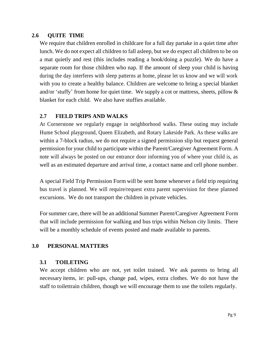#### **2.6 QUITE TIME**

We require that children enrolled in childcare for a full day partake in a quiet time after lunch. We do not expect all children to fall asleep, but we do expect all children to be on a mat quietly and rest (this includes reading a book/doing a puzzle). We do have a separate room for those children who nap. If the amount of sleep your child is having during the day interferes with sleep patterns at home, please let us know and we will work with you to create a healthy balance. Children are welcome to bring a special blanket and/or 'stuffy' from home for quiet time. We supply a cot or mattress, sheets, pillow & blanket for each child. We also have stuffies available.

# **2.7 FIELD TRIPS AND WALKS**

At Cornerstone we regularly engage in neighborhood walks. These outing may include Hume School playground, Queen Elizabeth, and Rotary Lakeside Park. As these walks are within a 7-block radius, we do not require a signed permission slip but request general permission for your child to participate within the Parent/Caregiver Agreement Form. A note will always be posted on our entrance door informing you of where your child is, as well as an estimated departure and arrival time, a contact name and cell phone number.

A special Field Trip Permission Form will be sent home whenever a field trip requiring bus travel is planned. We will require/request extra parent supervision for these planned excursions. We do not transport the children in private vehicles.

For summer care, there will be an additional Summer Parent/Caregiver Agreement Form that will include permission for walking and bus trips within Nelson city limits. There will be a monthly schedule of events posted and made available to parents.

### **3.0 PERSONAL MATTERS**

### **3.1 TOILETING**

We accept children who are not, yet toilet trained. We ask parents to bring all necessary items, ie: pull-ups, change pad, wipes, extra clothes. We do not have the staff to toilettrain children, though we will encourage them to use the toilets regularly.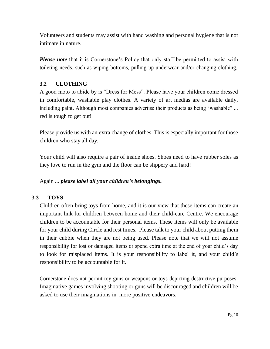Volunteers and students may assist with hand washing and personal hygiene that is not intimate in nature.

*Please note* that it is Cornerstone's Policy that only staff be permitted to assist with toileting needs, such as wiping bottoms, pulling up underwear and/or changing clothing.

# **3.2 CLOTHING**

A good moto to abide by is "Dress for Mess". Please have your children come dressed in comfortable, washable play clothes. A variety of art medias are available daily, including paint. Although most companies advertise their products as being 'washable" ... red is tough to get out!

Please provide us with an extra change of clothes. This is especially important for those children who stay all day.

Your child will also require a pair of inside shoes. Shoes need to have rubber soles as they love to run in the gym and the floor can be slippery and hard!

# Again ... *please label all your children's belongings***.**

# **3.3 TOYS**

Children often bring toys from home, and it is our view that these items can create an important link for children between home and their child-care Centre. We encourage children to be accountable for their personal items. These items will only be available for your child during Circle and rest times. Please talk to your child about putting them in their cubbie when they are not being used. Please note that we will not assume responsibility for lost or damaged items or spend extra time at the end of your child's day to look for misplaced items. It is your responsibility to label it, and your child's responsibility to be accountable for it.

Cornerstone does not permit toy guns or weapons or toys depicting destructive purposes. Imaginative games involving shooting or guns will be discouraged and children will be asked to use their imaginations in more positive endeavors.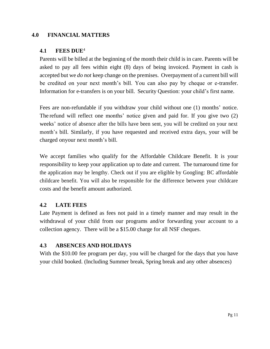### **4.0 FINANCIAL MATTERS**

#### **4.1 FEES DUE**<sup>4</sup>

Parents will be billed at the beginning of the month their child is in care. Parents will be asked to pay all fees within eight (8) days of being invoiced. Payment in cash is accepted but we *do not* keep change on the premises. Overpayment of a current bill will be credited on your next month's bill. You can also pay by cheque or e-transfer. Information for e-transfers is on your bill. Security Question: your child's first name.

Fees are non-refundable if you withdraw your child without one (1) months' notice. The refund will reflect one months' notice given and paid for. If you give two (2) weeks' notice of absence after the bills have been sent, you will be credited on your next month's bill. Similarly, if you have requested and received extra days, your will be charged onyour next month's bill.

We accept families who qualify for the Affordable Childcare Benefit. It is your responsibility to keep your application up to date and current. The turnaround time for the application may be lengthy. Check out if you are eligible by Googling: BC affordable childcare benefit. You will also be responsible for the difference between your childcare costs and the benefit amount authorized.

### **4.2 LATE FEES**

Late Payment is defined as fees not paid in a timely manner and may result in the withdrawal of your child from our programs and/or forwarding your account to a collection agency. There will be a \$15.00 charge for all NSF cheques.

# **4.3 ABSENCES AND HOLIDAYS**

With the \$10.00 fee program per day, you will be charged for the days that you have your child booked. (Including Summer break, Spring break and any other absences)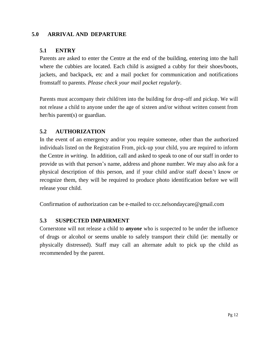# **5.0 ARRIVAL AND DEPARTURE**

# **5.1 ENTRY**

Parents are asked to enter the Centre at the end of the building, entering into the hall where the cubbies are located. Each child is assigned a cubby for their shoes/boots, jackets, and backpack, etc and a mail pocket for communication and notifications fromstaff to parents. *Please check your mail pocket regularly*.

Parents must accompany their child/ren into the building for drop-off and pickup. We will not release a child to anyone under the age of sixteen and/or without written consent from her/his parent(s) or guardian.

# **5.2 AUTHORIZATION**

In the event of an emergency and/or you require someone, other than the authorized individuals listed on the Registration From, pick-up your child, you are required to inform the Centre *in writing*. In addition, call and asked to speak to one of our staff in order to provide us with that person's name, address and phone number. We may also ask for a physical description of this person, and if your child and/or staff doesn't know or recognize them, they will be required to produce photo identification before we will release your child.

Confirmation of authorization can be e-mailed to [ccc.nelsondaycare@gmail.com](mailto:ccc.nelsondaycare@gmail.com)

# **5.3 SUSPECTED IMPAIRMENT**

Cornerstone will not release a child to *anyone* who is suspected to be under the influence of drugs or alcohol or seems unable to safely transport their child (ie: mentally or physically distressed). Staff may call an alternate adult to pick up the child as recommended by the parent.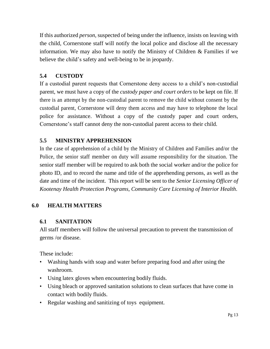If this authorized *person*, suspected of being under the influence, insists on leaving with the child, Cornerstone staff will notify the local police and disclose all the necessary information. We may also have to notify the Ministry of Children & Families if we believe the child's safety and well-being to be in jeopardy.

# **5.4 CUSTODY**

If a custodial parent requests that Cornerstone deny access to a child's non-custodial parent, we must have a copy of the *custody paper and court orders* to be kept on file. If there is an attempt by the non-custodial parent to remove the child without consent by the custodial parent, Cornerstone will deny them access and may have to telephone the local police for assistance. Without a copy of the custody paper and court orders, Cornerstone's staff cannot deny the non-custodial parent access to their child.

# **5.5 MINISTRY APPREHENSION**

In the case of apprehension of a child by the Ministry of Children and Families and/or the Police, the senior staff member on duty will assume responsibility for the situation. The senior staff member will be required to ask both the social worker and/or the police for photo ID, and to record the name and title of the apprehending persons, as well as the date and time of the incident. This report will be sent to the *Senior Licensing Officer of Kootenay Health Protection Programs, Community Care Licensing of Interior Health*.

# **6.0 HEALTH MATTERS**

# **6.1 SANITATION**

All staff members will follow the universal precaution to prevent the transmission of germs /or disease.

These include:

- Washing hands with soap and water before preparing food and after using the washroom.
- Using latex gloves when encountering bodily fluids.
- Using bleach or approved sanitation solutions to clean surfaces that have come in contact with bodily fluids.
- Regular washing and sanitizing of toys equipment.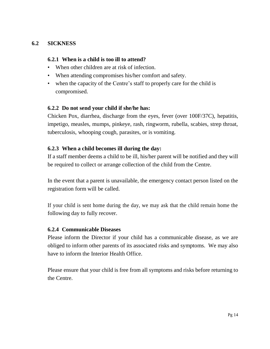# **6.2 SICKNESS**

#### **6.2.1 When is a child is too ill to attend?**

- When other children are at risk of infection.
- When attending compromises his/her comfort and safety.
- when the capacity of the Centre's staff to properly care for the child is compromised.

#### **6.2.2 Do not send your child if she/he has:**

Chicken Pox, diarrhea, discharge from the eyes, fever (over 100F/37C), hepatitis, impetigo, measles, mumps, pinkeye, rash, ringworm, rubella, scabies, strep throat, tuberculosis, whooping cough, parasites, or is vomiting.

### **6.2.3 When a child becomes ill during the day:**

If a staff member deems a child to be ill, his/her parent will be notified and they will be required to collect or arrange collection of the child from the Centre.

In the event that a parent is unavailable, the emergency contact person listed on the registration form will be called.

If your child is sent home during the day, we may ask that the child remain home the following day to fully recover.

#### **6.2.4 Communicable Diseases**

Please inform the Director if your child has a communicable disease, as we are obliged to inform other parents of its associated risks and symptoms. We may also have to inform the Interior Health Office.

Please ensure that your child is free from all symptoms and risks before returning to the Centre.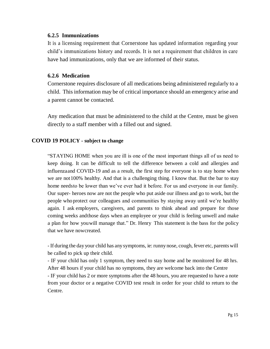#### **6.2.5 Immunizations**

It is a licensing requirement that Cornerstone has updated information regarding your child's immunizations history and records. It is not a requirement that children in care have had immunizations, only that we are informed of their status.

#### **6.2.6 Medication**

Cornerstone requires disclosure of all medications being administered regularly to a child. This information may be of critical importance should an emergency arise and a parent cannot be contacted.

Any medication that must be administered to the child at the Centre, must be given directly to a staff member with a filled out and signed.

#### **COVID 19 POLICY - subject to change**

"STAYING HOME when you are ill is one of the most important things all of us need to keep doing. It can be difficult to tell the difference between a cold and allergies and influenzaand COVID-19 and as a result, the first step for everyone is to stay home when we are not100% healthy. And that is a challenging thing. I know that. But the bar to stay home needsto be lower than we've ever had it before. For us and everyone in our family. Our super- heroes now are not the people who put aside our illness and go to work, but the people whoprotect our colleagues and communities by staying away until we're healthy again. I ask employers, caregivers, and parents to think ahead and prepare for those coming weeks andthose days when an employee or your child is feeling unwell and make a plan for how youwill manage that." Dr. Henry This statement is the bass for the policy that we have nowcreated.

- If during the day your child has anysymptoms, ie: runny nose, cough, fever etc, parents will be called to pick up their child.

- IF your child has only 1 symptom, they need to stay home and be monitored for 48 hrs. After 48 hours if your child has no symptoms, they are welcome back into the Centre

- IF your child has 2 or more symptoms after the 48 hours, you are requested to have a note from your doctor or a negative COVID test result in order for your child to return to the Centre.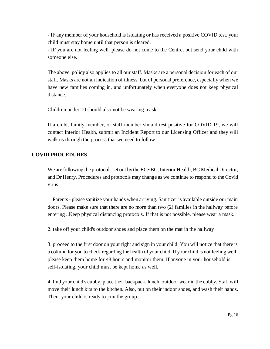- IF any member of your household is isolating or has received a positive COVID test, your child must stay home until that person is cleared.

- IF you are not feeling well, please do not come to the Centre, but send your child with someone else.

The above policy also applies to all our staff. Masks are a personal decision for each of our staff. Masks are not an indication of illness, but of personal preference, especially when we have new families coming in, and unfortunately when everyone does not keep physical distance.

Children under 10 should also not be wearing mask.

If a child, family member, or staff member should test positive for COVID 19, we will contact Interior Health, submit an Incident Report to our Licensing Officer and they will walk us through the process that we need to follow.

#### **COVID PROCEDURES**

We are following the protocols set out by the ECEBC, Interior Health, BC Medical Director, and Dr Henry. Procedures and protocols may change as we continue to respond to the Covid virus.

1. Parents- please sanitize your hands when arriving. Sanitizer is available outside our main doors. Please make sure that there are no more than two (2) families in the hallway before entering ..Keep physical distancing protocols. If that is not possible, please wear a mask.

2. take off your child's outdoor shoes and place them on the mat in the hallway

3. proceed to the first door on your right and sign in your child. You will notice that there is a column for you to check regarding the health of your child. If your child is not feeling well, please keep them home for 48 hours and monitor them. If anyone in your household is self-isolating, your child must be kept home as well.

4. find your child's cubby, place their backpack, lunch, outdoor wear in the cubby. Staff will move their lunch kits to the kitchen. Also, put on their indoor shoes, and wash their hands. Then your child is ready to join the group.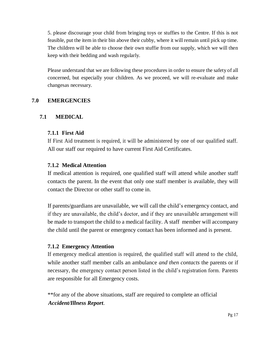5. please discourage your child from bringing toys or stuffies to the Centre. If this is not feasible, put the item in their bin above their cubby, where it will remain until pick up time. The children will be able to choose their own stuffie from our supply, which we will then keep with their bedding and wash regularly.

Please understand that we are following these procedures in order to ensure the safety of all concerned, but especially your children. As we proceed, we will re-evaluate and make changesas necessary.

# **7.0 EMERGENCIES**

# **7.1 MEDICAL**

### **7.1.1 First Aid**

If First Aid treatment is required, it will be administered by one of our qualified staff. All our staff our required to have current First Aid Certificates.

### **7.1.2 Medical Attention**

If medical attention is required, one qualified staff will attend while another staff contacts the parent. In the event that only one staff member is available, they will contact the Director or other staff to come in.

If parents/guardians are unavailable, we will call the child's emergency contact, and if they are unavailable, the child's doctor, and if they are unavailable arrangement will be made to transport the child to a medical facility. A staff member will accompany the child until the parent or emergency contact has been informed and is present.

### **7.1.2 Emergency Attention**

If emergency medical attention is required, the qualified staff will attend to the child, while another staff member calls an ambulance *and then contacts* the parents or if necessary, the emergency contact person listed in the child's registration form. Parents are responsible for all Emergency costs.

\*\*for any of the above situations, staff are required to complete an official *Accident/Illness Report*.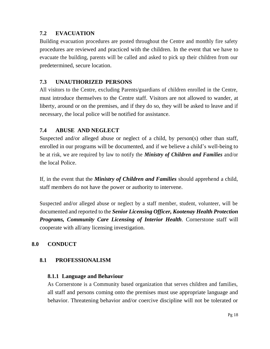# **7.2 EVACUATION**

Building evacuation procedures are posted throughout the Centre and monthly fire safety procedures are reviewed and practiced with the children. In the event that we have to evacuate the building, parents will be called and asked to pick up their children from our predetermined, secure location.

# **7.3 UNAUTHORIZED PERSONS**

All visitors to the Centre, excluding Parents/guardians of children enrolled in the Centre, must introduce themselves to the Centre staff. Visitors are not allowed to wander, at liberty, around or on the premises, and if they do so, they will be asked to leave and if necessary, the local police will be notified for assistance.

# **7.4 ABUSE AND NEGLECT**

Suspected and/or alleged abuse or neglect of a child, by person(s) other than staff, enrolled in our programs will be documented, and if we believe a child's well-being to be at risk, we are required by law to notify the *Ministry of Children and Families* and/or the local Police.

If, in the event that the *Ministry of Children and Families* should apprehend a child, staff members do not have the power or authority to intervene.

Suspected and/or alleged abuse or neglect by a staff member, student, volunteer, will be documented and reported to the *Senior Licensing Officer, Kootenay Health Protection Programs, Community Care Licensing of Interior Health*. Cornerstone staff will cooperate with all/any licensing investigation.

# **8.0 CONDUCT**

# **8.1 PROFESSIONALISM**

# **8.1.1 Language and Behaviour**

As Cornerstone is a Community based organization that serves children and families, all staff and persons coming onto the premises must use appropriate language and behavior. Threatening behavior and/or coercive discipline will not be tolerated or